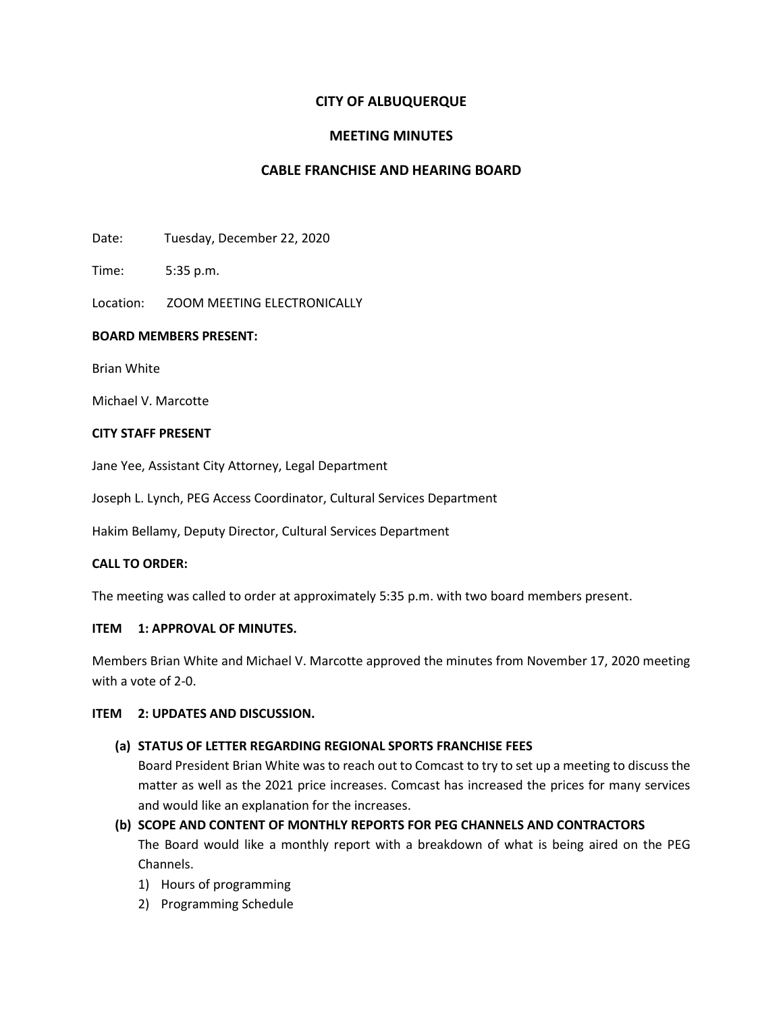# **CITY OF ALBUQUERQUE**

## **MEETING MINUTES**

## **CABLE FRANCHISE AND HEARING BOARD**

Date: Tuesday, December 22, 2020

Time: 5:35 p.m.

Location: ZOOM MEETING ELECTRONICALLY

### **BOARD MEMBERS PRESENT:**

Brian White

Michael V. Marcotte

#### **CITY STAFF PRESENT**

Jane Yee, Assistant City Attorney, Legal Department

Joseph L. Lynch, PEG Access Coordinator, Cultural Services Department

Hakim Bellamy, Deputy Director, Cultural Services Department

### **CALL TO ORDER:**

The meeting was called to order at approximately 5:35 p.m. with two board members present.

#### **ITEM 1: APPROVAL OF MINUTES.**

Members Brian White and Michael V. Marcotte approved the minutes from November 17, 2020 meeting with a vote of 2-0.

### **ITEM 2: UPDATES AND DISCUSSION.**

### **(a) STATUS OF LETTER REGARDING REGIONAL SPORTS FRANCHISE FEES**

Board President Brian White was to reach out to Comcast to try to set up a meeting to discuss the matter as well as the 2021 price increases. Comcast has increased the prices for many services and would like an explanation for the increases.

# **(b) SCOPE AND CONTENT OF MONTHLY REPORTS FOR PEG CHANNELS AND CONTRACTORS**

The Board would like a monthly report with a breakdown of what is being aired on the PEG Channels.

- 1) Hours of programming
- 2) Programming Schedule